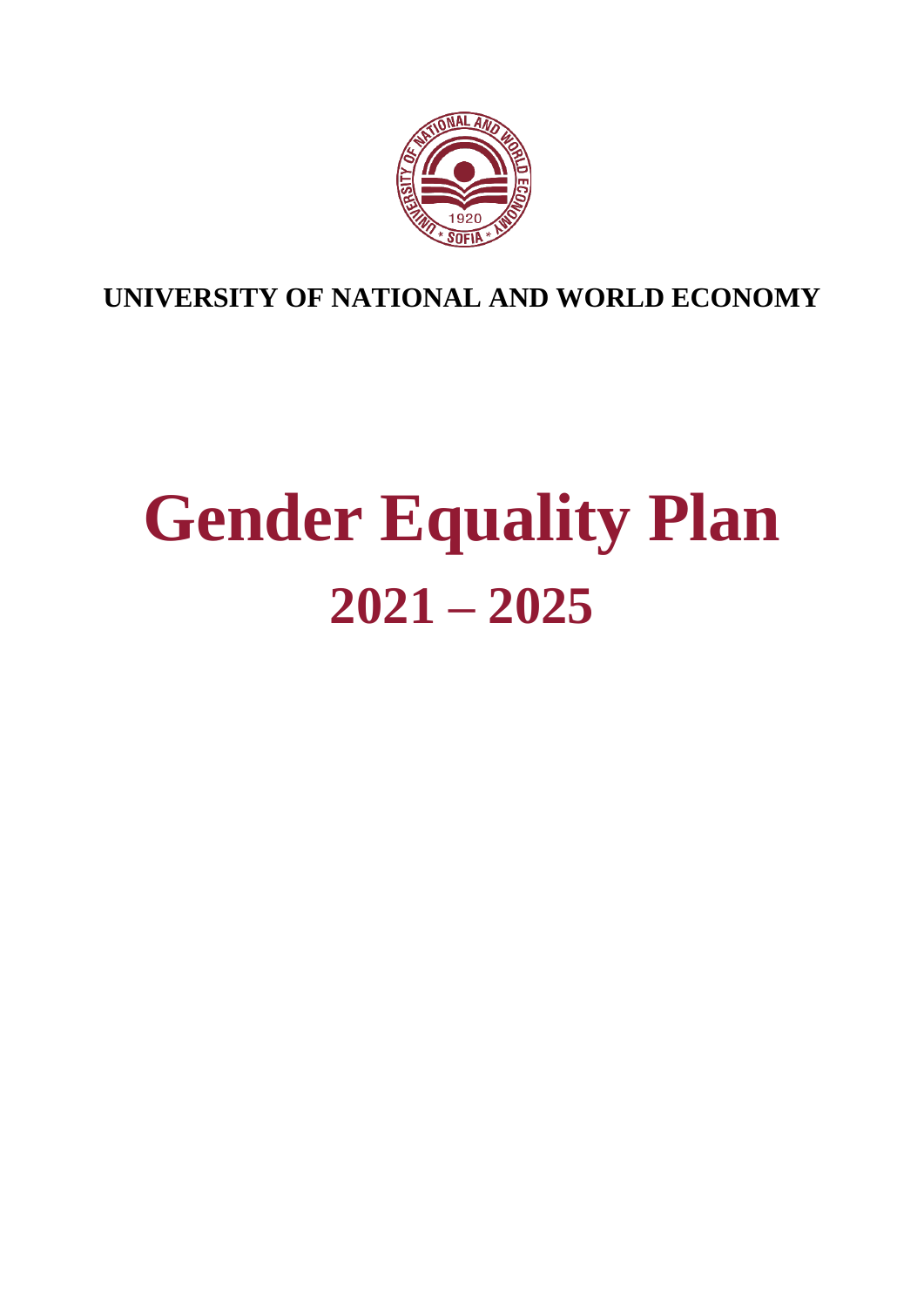

**UNIVERSITY OF NATIONAL AND WORLD ECONOMY**

# **Gender Equality Plan 2021 – 2025**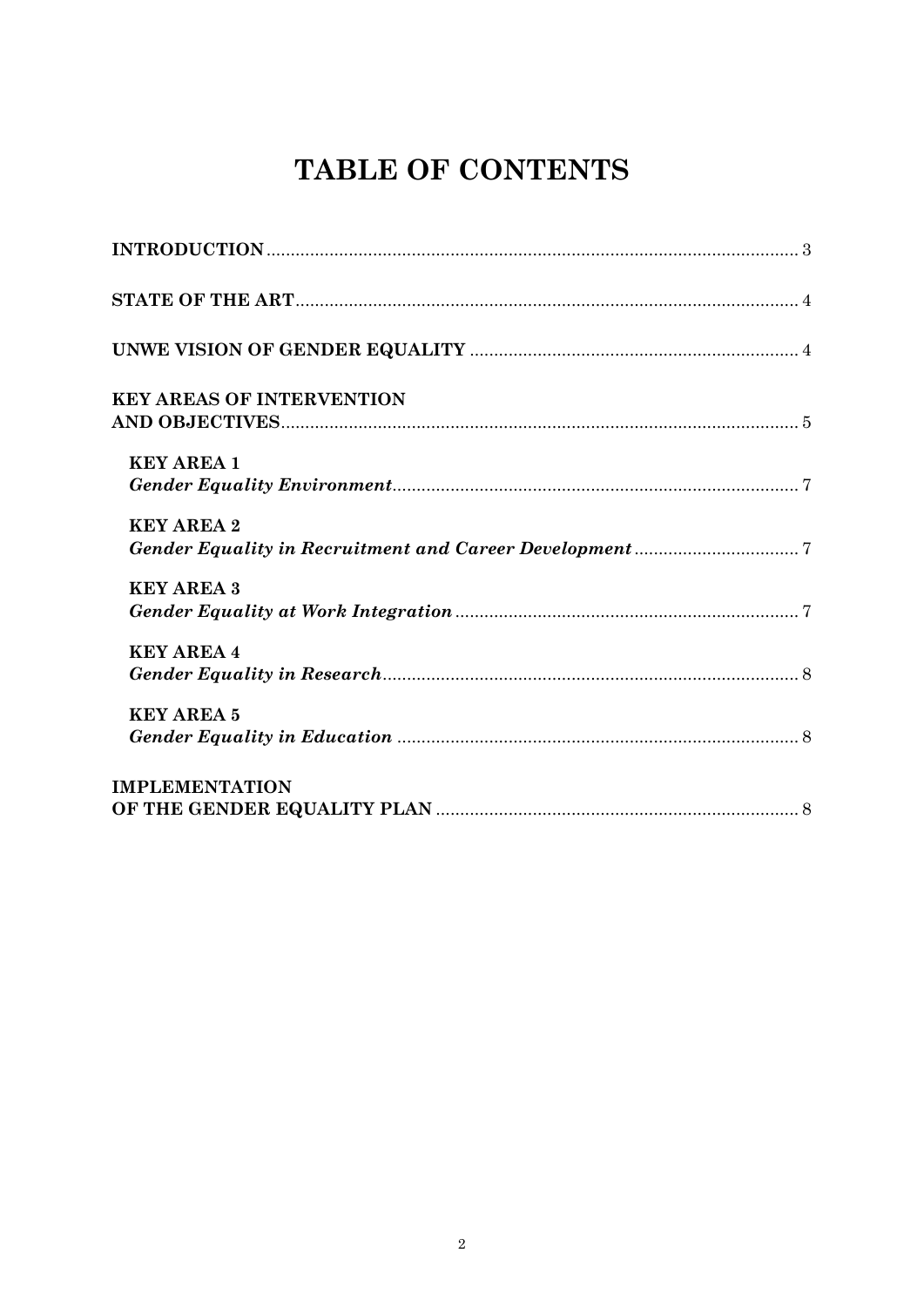# TABLE OF CONTENTS

| <b>KEY AREAS OF INTERVENTION</b> |
|----------------------------------|
| <b>KEY AREA 1</b>                |
| <b>KEY AREA 2</b>                |
| <b>KEY AREA 3</b>                |
| <b>KEY AREA 4</b>                |
| <b>KEY AREA 5</b>                |
| <b>IMPLEMENTATION</b>            |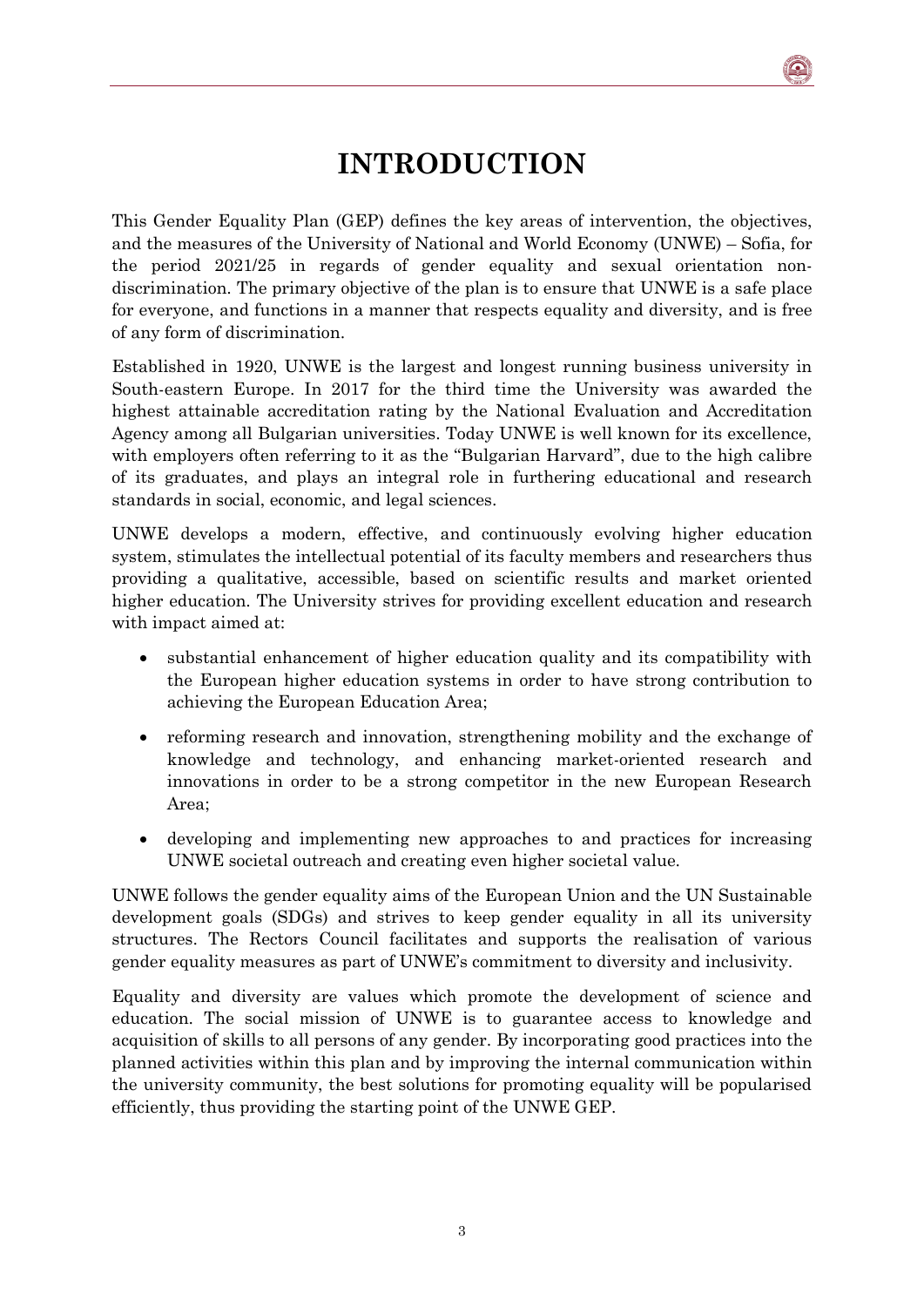## **INTRODUCTION**

<span id="page-2-0"></span>This Gender Equality Plan (GEP) defines the key areas of intervention, the objectives, and the measures of the University of National and World Economy (UNWE) – Sofia, for the period 2021/25 in regards of gender equality and sexual orientation nondiscrimination. The primary objective of the plan is to ensure that UNWE is a safe place for everyone, and functions in a manner that respects equality and diversity, and is free of any form of discrimination.

Established in 1920, UNWE is the largest and longest running business university in South-eastern Europe. In 2017 for the third time the University was awarded the highest attainable accreditation rating by the National Evaluation and Accreditation Agency among all Bulgarian universities. Today UNWE is well known for its excellence, with employers often referring to it as the "Bulgarian Harvard", due to the high calibre of its graduates, and plays an integral role in furthering educational and research standards in social, economic, and legal sciences.

UNWE develops a modern, effective, and continuously evolving higher education system, stimulates the intellectual potential of its faculty members and researchers thus providing a qualitative, accessible, based on scientific results and market oriented higher education. The University strives for providing excellent education and research with impact aimed at:

- substantial enhancement of higher education quality and its compatibility with the European higher education systems in order to have strong contribution to achieving the European Education Area;
- reforming research and innovation, strengthening mobility and the exchange of knowledge and technology, and enhancing market-oriented research and innovations in order to be a strong competitor in the new European Research Area;
- developing and implementing new approaches to and practices for increasing UNWE societal outreach and creating even higher societal value.

UNWE follows the gender equality aims of the European Union and the UN Sustainable development goals (SDGs) and strives to keep gender equality in all its university structures. The Rectors Council facilitates and supports the realisation of various gender equality measures as part of UNWE's commitment to diversity and inclusivity.

Equality and diversity are values which promote the development of science and education. The social mission of UNWE is to guarantee access to knowledge and acquisition of skills to all persons of any gender. By incorporating good practices into the planned activities within this plan and by improving the internal communication within the university community, the best solutions for promoting equality will be popularised efficiently, thus providing the starting point of the UNWE GEP.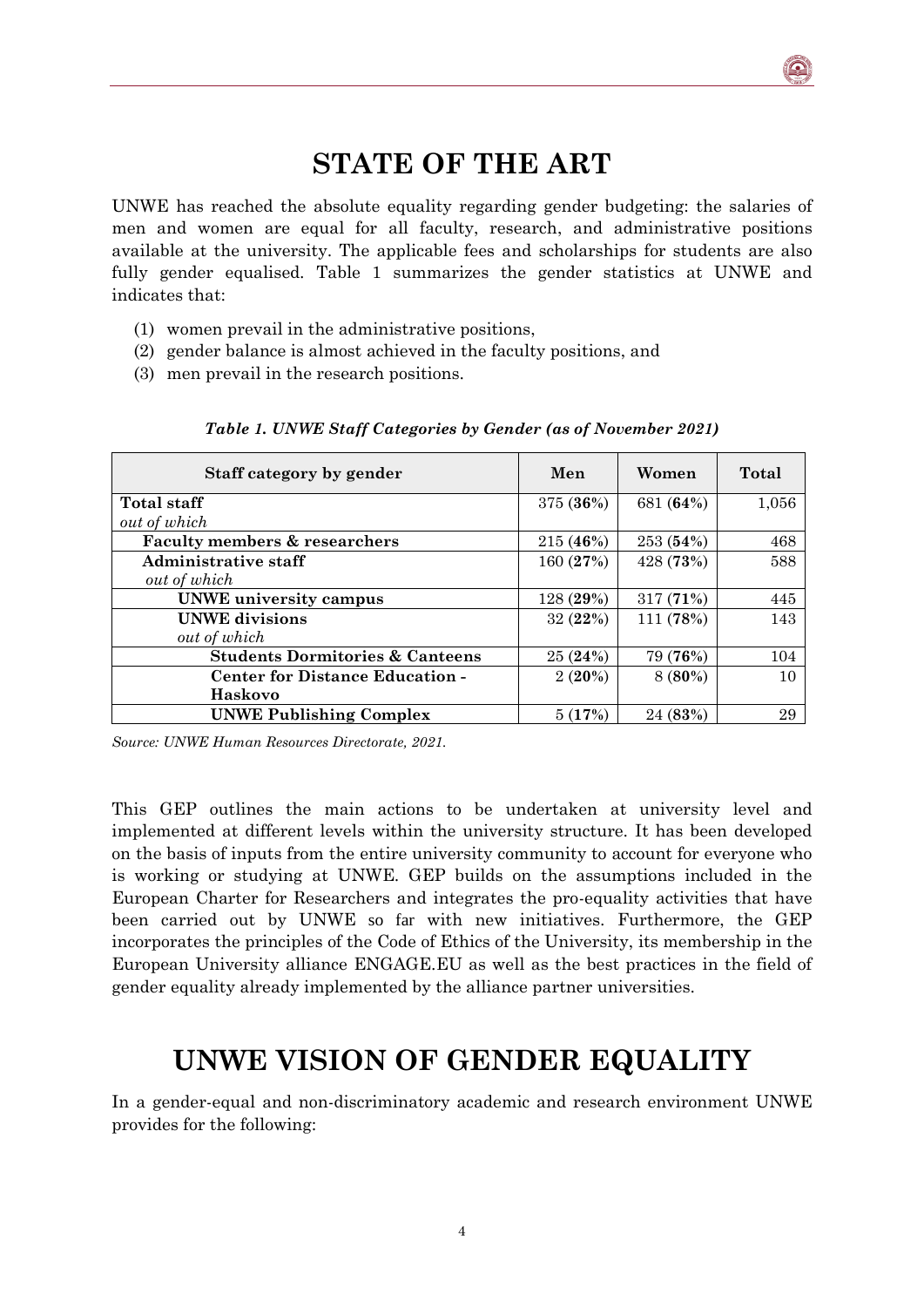## **STATE OF THE ART**

<span id="page-3-0"></span>UNWE has reached the absolute equality regarding gender budgeting: the salaries of men and women are equal for all faculty, research, and administrative positions available at the university. The applicable fees and scholarships for students are also fully gender equalised. Table 1 summarizes the gender statistics at UNWE and indicates that:

- (1) women prevail in the administrative positions,
- (2) gender balance is almost achieved in the faculty positions, and
- (3) men prevail in the research positions.

| Staff category by gender                   | Men       | Women     | Total |
|--------------------------------------------|-----------|-----------|-------|
| Total staff                                | 375 (36%) | 681 (64%) | 1,056 |
| out of which                               |           |           |       |
| <b>Faculty members &amp; researchers</b>   | 215(46%)  | 253(54%)  | 468   |
| Administrative staff                       | 160 (27%) | 428 (73%) | 588   |
| out of which                               |           |           |       |
| <b>UNWE</b> university campus              | 128(29%)  | 317(71%)  | 445   |
| <b>UNWE</b> divisions                      | 32(22%)   | 111 (78%) | 143   |
| out of which                               |           |           |       |
| <b>Students Dormitories &amp; Canteens</b> | 25(24%)   | 79 (76%)  | 104   |
| <b>Center for Distance Education -</b>     | $2(20\%)$ | $8(80\%)$ | 10    |
| Haskovo                                    |           |           |       |
| <b>UNWE Publishing Complex</b>             | 5(17%)    | 24(83%)   | 29    |

*Table 1. UNWE Staff Categories by Gender (as of November 2021)*

*Source: UNWE Human Resources Directorate, 2021.*

This GEP outlines the main actions to be undertaken at university level and implemented at different levels within the university structure. It has been developed on the basis of inputs from the entire university community to account for everyone who is working or studying at UNWE. GEP builds on the assumptions included in the European Charter for Researchers and integrates the pro-equality activities that have been carried out by UNWE so far with new initiatives. Furthermore, the GEP incorporates the principles of the Code of Ethics of the University, its membership in the European University alliance ENGAGE.EU as well as the best practices in the field of gender equality already implemented by the alliance partner universities.

### **UNWE VISION OF GENDER EQUALITY**

<span id="page-3-1"></span>In a gender-equal and non-discriminatory academic and research environment UNWE provides for the following: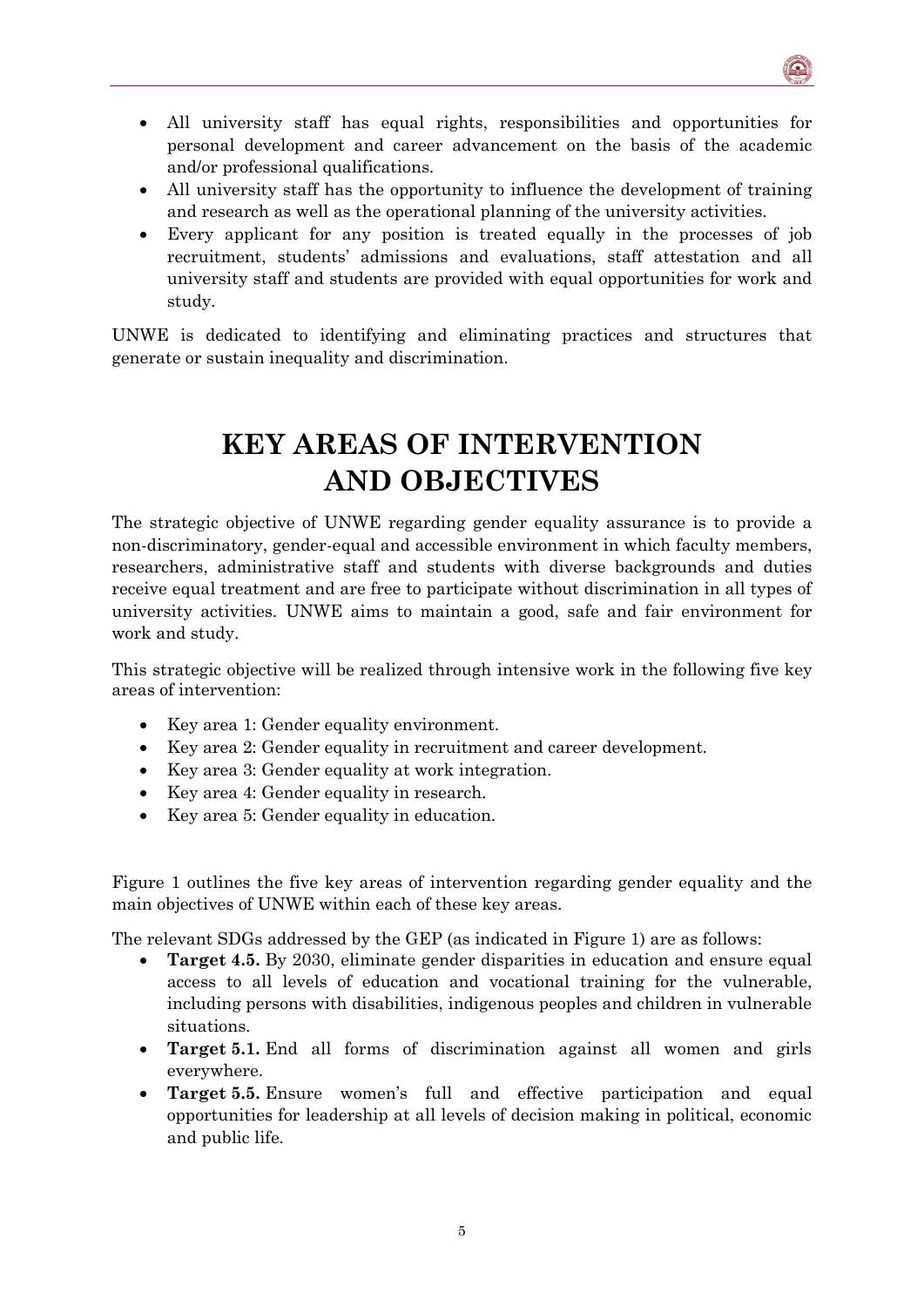- All university staff has equal rights, responsibilities and opportunities for personal development and career advancement on the basis of the academic and/or professional qualifications.
- All university staff has the opportunity to influence the development of training and research as well as the operational planning of the university activities.
- Every applicant for any position is treated equally in the processes of job recruitment, students' admissions and evaluations, staff attestation and all university staff and students are provided with equal opportunities for work and study.

UNWE is dedicated to identifying and eliminating practices and structures that generate or sustain inequality and discrimination.

## **KEY AREAS OF INTERVENTION AND OBJECTIVES**

<span id="page-4-0"></span>The strategic objective of UNWE regarding gender equality assurance is to provide a non-discriminatory, gender-equal and accessible environment in which faculty members, researchers, administrative staff and students with diverse backgrounds and duties receive equal treatment and are free to participate without discrimination in all types of university activities. UNWE aims to maintain a good, safe and fair environment for work and study.

This strategic objective will be realized through intensive work in the following five key areas of intervention:

- Key area 1: Gender equality environment.
- Key area 2: Gender equality in recruitment and career development.
- Key area 3: Gender equality at work integration.
- Key area 4: Gender equality in research.
- Key area 5: Gender equality in education.

Figure 1 outlines the five key areas of intervention regarding gender equality and the main objectives of UNWE within each of these key areas.

The relevant SDGs addressed by the GEP (as indicated in Figure 1) are as follows:

- **Target 4.5.** By 2030, eliminate gender disparities in education and ensure equal access to all levels of education and vocational training for the vulnerable, including persons with disabilities, indigenous peoples and children in vulnerable situations.
- **Target 5.1.** End all forms of discrimination against all women and girls everywhere.
- **Target 5.5.** Ensure women's full and effective participation and equal opportunities for leadership at all levels of decision making in political, economic and public life.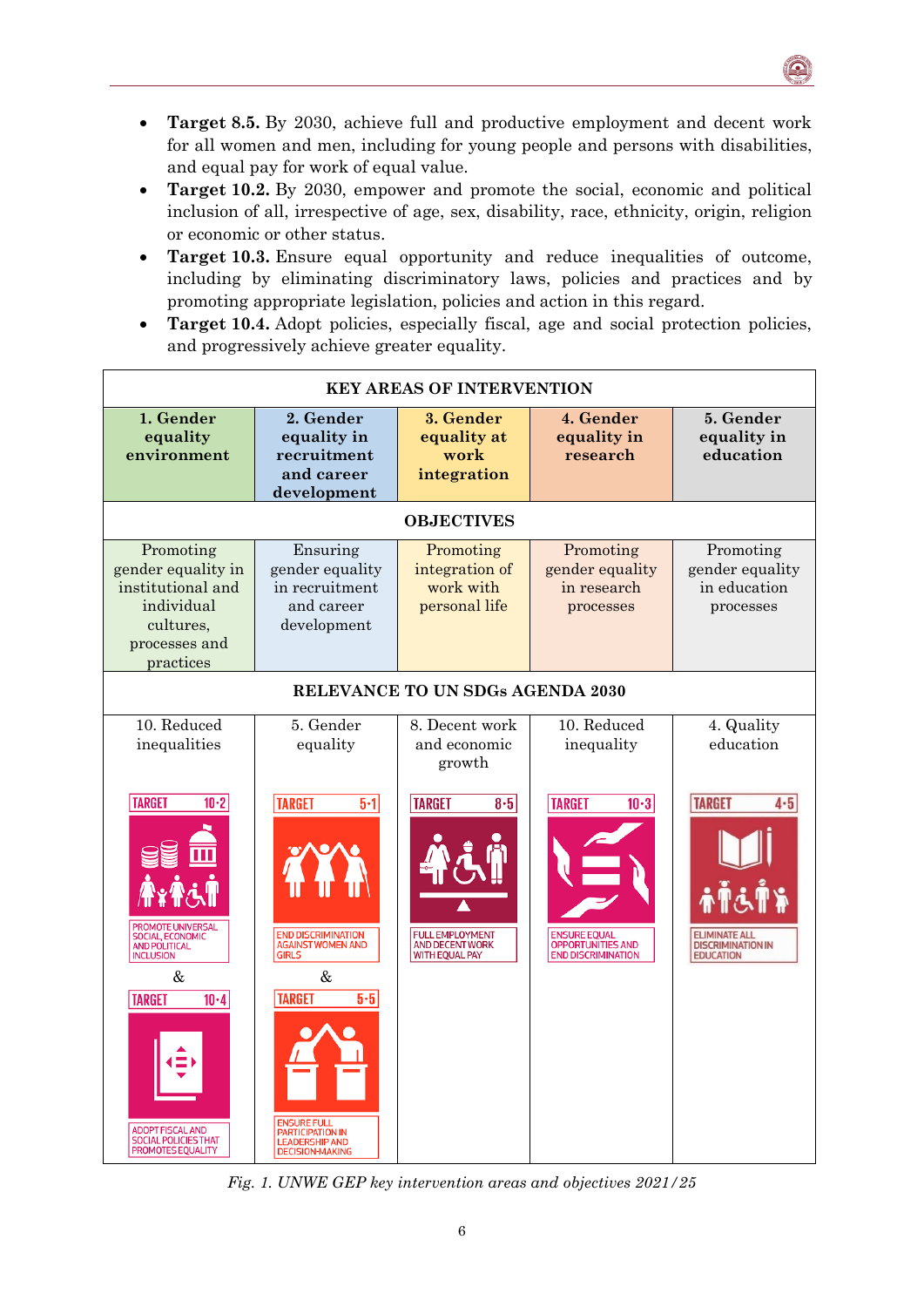• **Target 8.5.** By 2030, achieve full and productive employment and decent work for all women and men, including for young people and persons with disabilities, and equal pay for work of equal value.

 $\bullet$ 

- **Target 10.2.** By 2030, empower and promote the social, economic and political inclusion of all, irrespective of age, sex, disability, race, ethnicity, origin, religion or economic or other status.
- **Target 10.3.** Ensure equal opportunity and reduce inequalities of outcome, including by eliminating discriminatory laws, policies and practices and by promoting appropriate legislation, policies and action in this regard.
- **Target 10.4.** Adopt policies, especially fiscal, age and social protection policies, and progressively achieve greater equality.

| <b>KEY AREAS OF INTERVENTION</b>                                                                                                                           |                                                                                                                                  |                                                                                                     |                                                                                                         |                                                                                       |  |  |
|------------------------------------------------------------------------------------------------------------------------------------------------------------|----------------------------------------------------------------------------------------------------------------------------------|-----------------------------------------------------------------------------------------------------|---------------------------------------------------------------------------------------------------------|---------------------------------------------------------------------------------------|--|--|
| 1. Gender<br>equality<br>environment                                                                                                                       | 2. Gender<br>equality in<br>recruitment<br>and career<br>development                                                             | 3. Gender<br>equality at<br>work<br>integration                                                     | 4. Gender<br>equality in<br>research                                                                    | 5. Gender<br>equality in<br>education                                                 |  |  |
|                                                                                                                                                            |                                                                                                                                  | <b>OBJECTIVES</b>                                                                                   |                                                                                                         |                                                                                       |  |  |
| Promoting<br>gender equality in<br>institutional and<br>individual<br>cultures,<br>processes and<br>practices                                              | Ensuring<br>gender equality<br>in recruitment<br>and career<br>development                                                       | Promoting<br>integration of<br>work with<br>personal life                                           | Promoting<br>gender equality<br>in research<br>processes                                                | Promoting<br>gender equality<br>in education<br>processes                             |  |  |
|                                                                                                                                                            |                                                                                                                                  | RELEVANCE TO UN SDGs AGENDA 2030                                                                    |                                                                                                         |                                                                                       |  |  |
| 10. Reduced<br>inequalities                                                                                                                                | 5. Gender<br>equality                                                                                                            | 8. Decent work<br>and economic<br>growth                                                            | 10. Reduced<br>inequality                                                                               | 4. Quality<br>education                                                               |  |  |
| <b>TARGET</b><br>$10-2$<br><b>PROMOTE UNIVERSAL</b><br><b>SOCIAL, ECONOMIC</b><br><b>AND POLITICAL</b><br><b>INCLUSION</b><br>&<br><b>TARGET</b><br>$10-4$ | <b>TARGET</b><br>$5 - 1$<br><b>END DISCRIMINATION</b><br><b>AGAINST WOMEN AND</b><br><b>GIRLS</b><br>&<br><b>TARGET</b><br>$5-5$ | <b>TARGET</b><br>$8-5$<br><b>FULL EMPLOYMENT</b><br><b>AND DECENT WORK</b><br><b>WITH EQUAL PAY</b> | <b>TARGET</b><br>$10-3$<br><b>ENSURE EQUAL</b><br><b>OPPORTUNITIES AND</b><br><b>END DISCRIMINATION</b> | <b>TARGET</b><br><b>ELIMINATE ALI</b><br><b>DISCRIMINATION IN</b><br><b>EDUCATION</b> |  |  |
| <b>ADOPT FISCAL AND</b><br><b>SOCIAL POLICIES THAT</b><br>PROMOTES EQUALITY                                                                                | <b>ENSURE FULL</b><br><b>PARTICIPATION IN</b><br><b>LEADERSHIP AND</b><br><b>DECISION-MAKING</b>                                 |                                                                                                     |                                                                                                         |                                                                                       |  |  |

*Fig. 1. UNWE GEP key intervention areas and objectives 2021/25*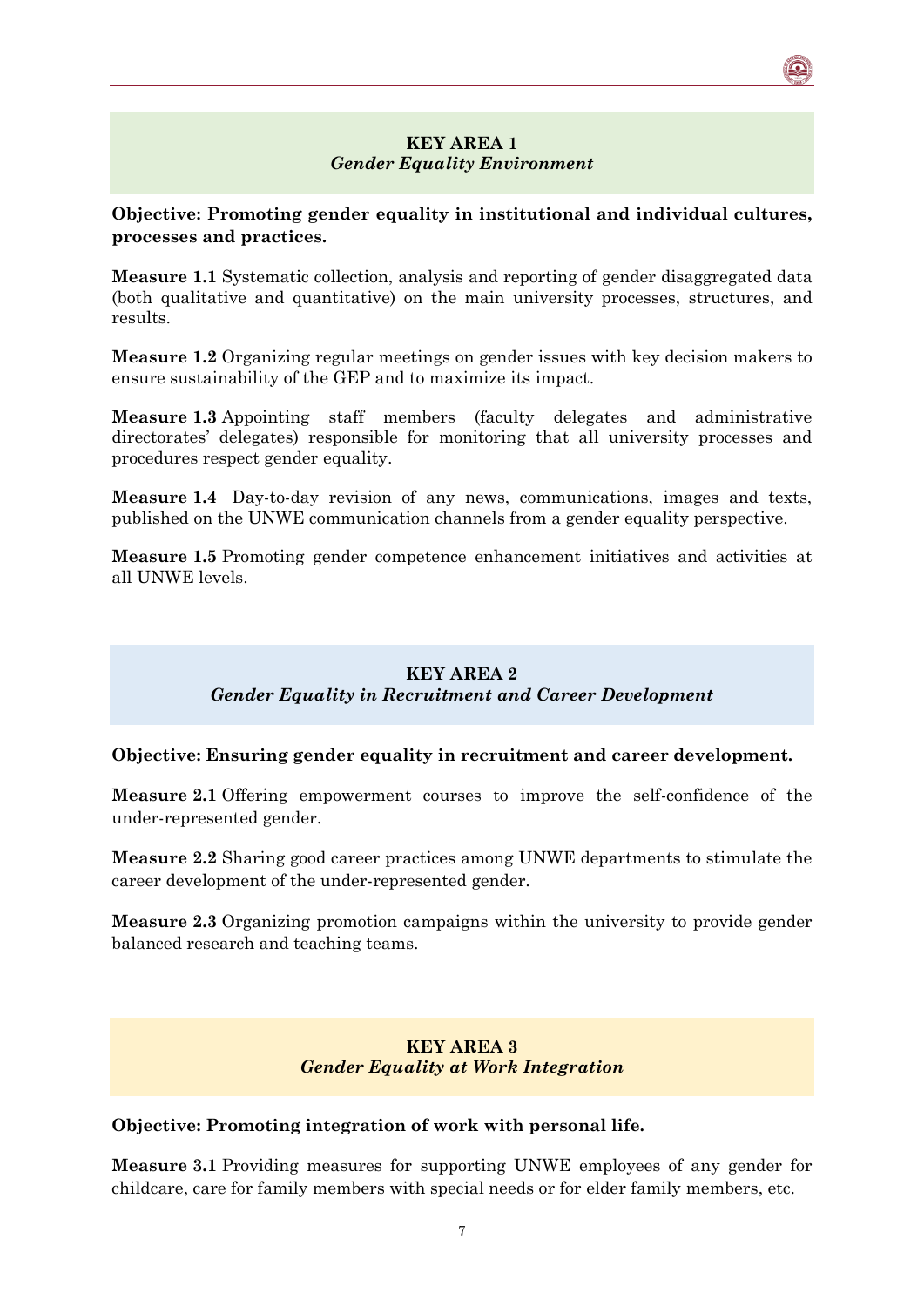#### **KEY AREA 1** *Gender Equality Environment*

#### <span id="page-6-0"></span>**Objective: Promoting gender equality in institutional and individual cultures, processes and practices.**

**Measure 1.1** Systematic collection, analysis and reporting of gender disaggregated data (both qualitative and quantitative) on the main university processes, structures, and results.

**Measure 1.2** Organizing regular meetings on gender issues with key decision makers to ensure sustainability of the GEP and to maximize its impact.

**Measure 1.3** Appointing staff members (faculty delegates and administrative directorates' delegates) responsible for monitoring that all university processes and procedures respect gender equality.

**Measure 1.4** Day-to-day revision of any news, communications, images and texts, published on the UNWE communication channels from a gender equality perspective.

**Measure 1.5** Promoting gender competence enhancement initiatives and activities at all UNWE levels.

#### **KEY AREA 2** *Gender Equality in Recruitment and Career Development*

#### <span id="page-6-1"></span>**Objective: Ensuring gender equality in recruitment and career development.**

**Measure 2.1** Offering empowerment courses to improve the self-confidence of the under-represented gender.

**Measure 2.2** Sharing good career practices among UNWE departments to stimulate the career development of the under-represented gender.

**Measure 2.3** Organizing promotion campaigns within the university to provide gender balanced research and teaching teams.

#### **KEY AREA 3** *Gender Equality at Work Integration*

#### <span id="page-6-2"></span>**Objective: Promoting integration of work with personal life.**

**Measure 3.1** Providing measures for supporting UNWE employees of any gender for childcare, care for family members with special needs or for elder family members, etc.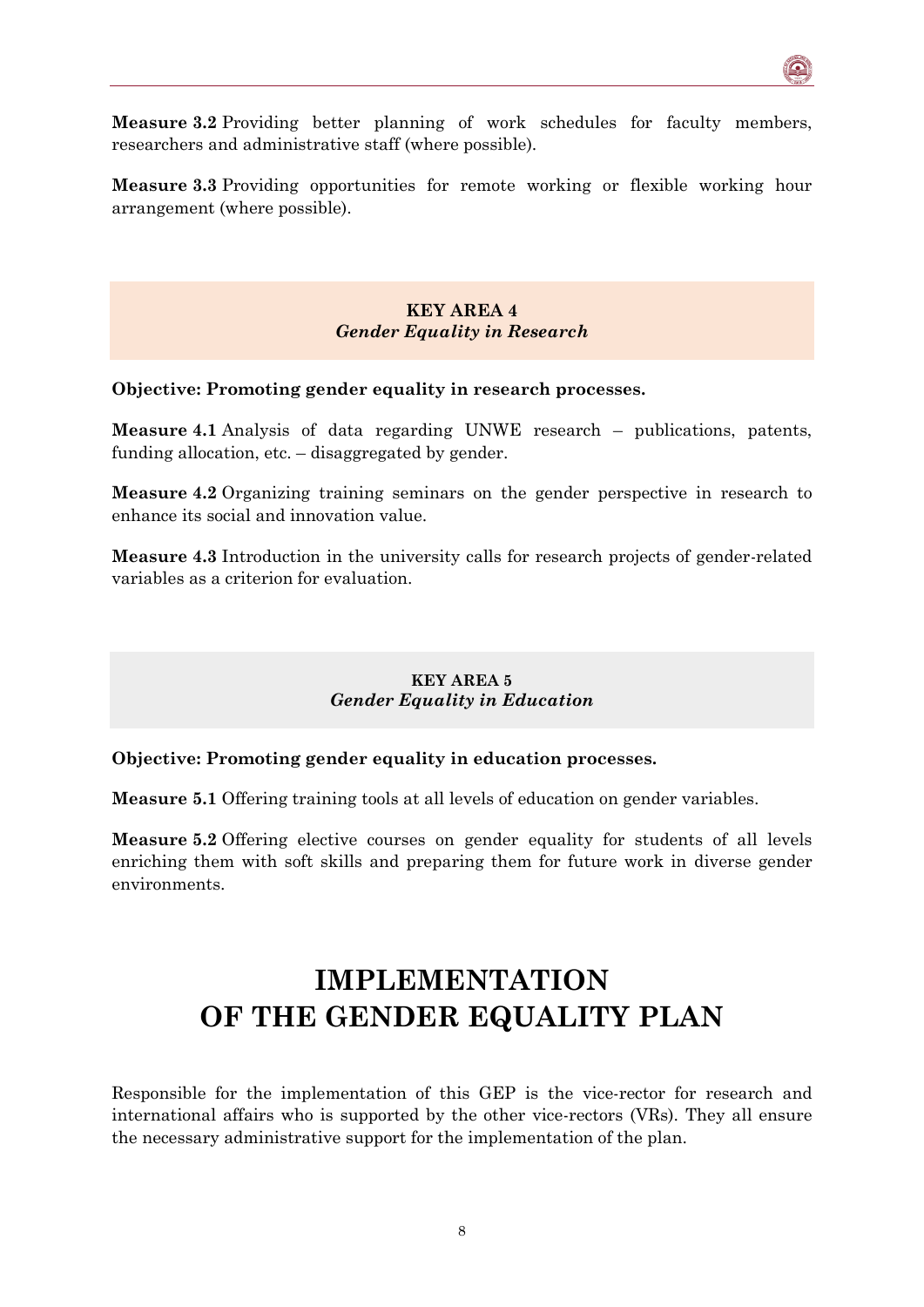**Measure 3.2** Providing better planning of work schedules for faculty members, researchers and administrative staff (where possible).

**Measure 3.3** Providing opportunities for remote working or flexible working hour arrangement (where possible).

> **KEY AREA 4** *Gender Equality in Research*

<span id="page-7-0"></span>**Objective: Promoting gender equality in research processes.**

**Measure 4.1** Analysis of data regarding UNWE research – publications, patents, funding allocation, etc. – disaggregated by gender.

**Measure 4.2** Organizing training seminars on the gender perspective in research to enhance its social and innovation value.

**Measure 4.3** Introduction in the university calls for research projects of gender-related variables as a criterion for evaluation.

#### **KEY AREA 5** *Gender Equality in Education*

<span id="page-7-1"></span>**Objective: Promoting gender equality in education processes.**

**Measure 5.1** Offering training tools at all levels of education on gender variables.

**Measure 5.2** Offering elective courses on gender equality for students of all levels enriching them with soft skills and preparing them for future work in diverse gender environments.

## <span id="page-7-2"></span>**IMPLEMENTATION OF THE GENDER EQUALITY PLAN**

Responsible for the implementation of this GEP is the vice-rector for research and international affairs who is supported by the other vice-rectors (VRs). They all ensure the necessary administrative support for the implementation of the plan.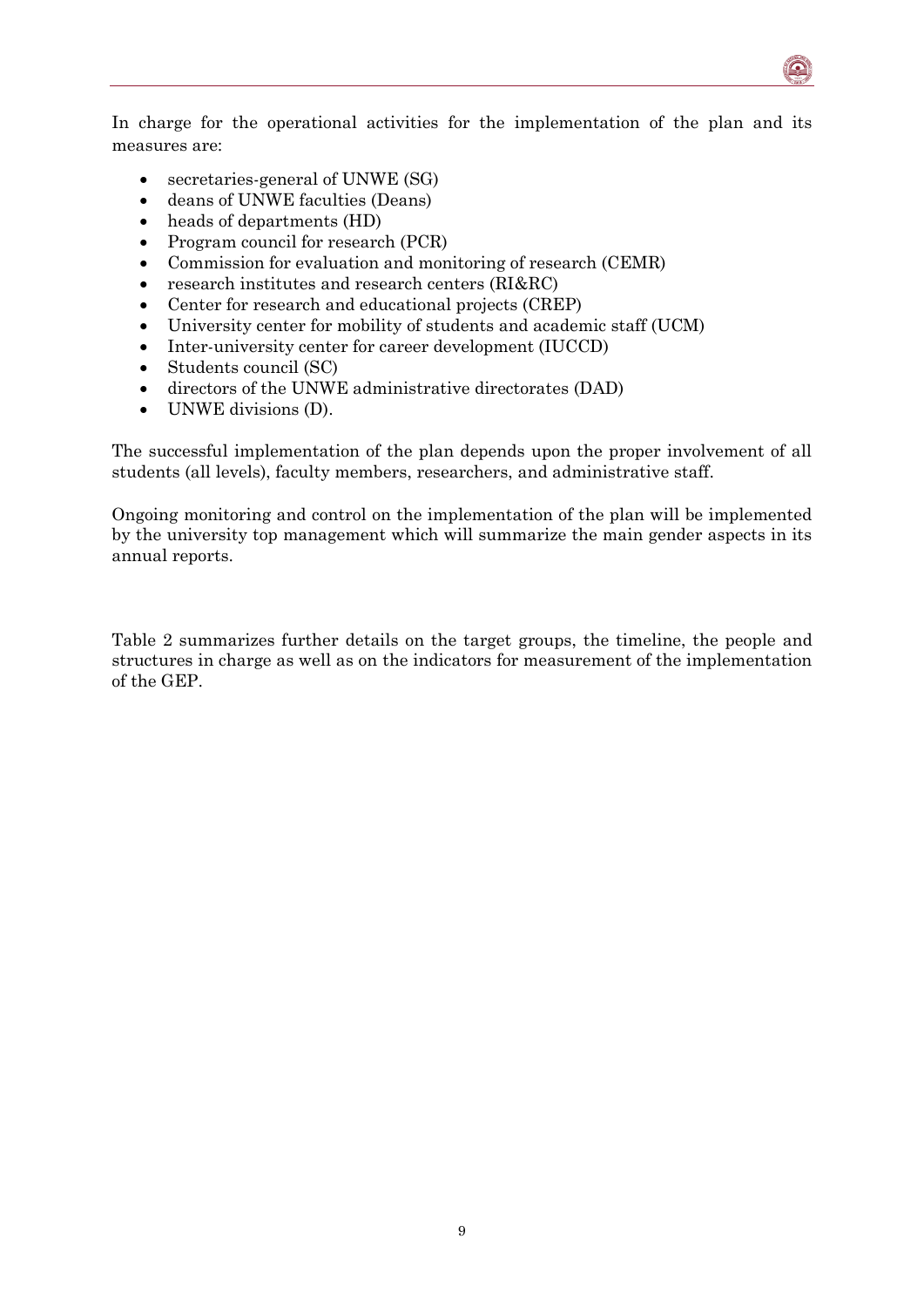In charge for the operational activities for the implementation of the plan and its measures are:

- secretaries-general of UNWE (SG)
- deans of UNWE faculties (Deans)
- heads of departments (HD)
- Program council for research (PCR)
- Commission for evaluation and monitoring of research (CEMR)
- research institutes and research centers (RI&RC)
- Center for research and educational projects (CREP)
- University center for mobility of students and academic staff (UCM)
- Inter-university center for career development (IUCCD)
- Students council (SC)
- directors of the UNWE administrative directorates (DAD)
- UNWE divisions (D).

The successful implementation of the plan depends upon the proper involvement of all students (all levels), faculty members, researchers, and administrative staff.

Ongoing monitoring and control on the implementation of the plan will be implemented by the university top management which will summarize the main gender aspects in its annual reports.

Table 2 summarizes further details on the target groups, the timeline, the people and structures in charge as well as on the indicators for measurement of the implementation of the GEP.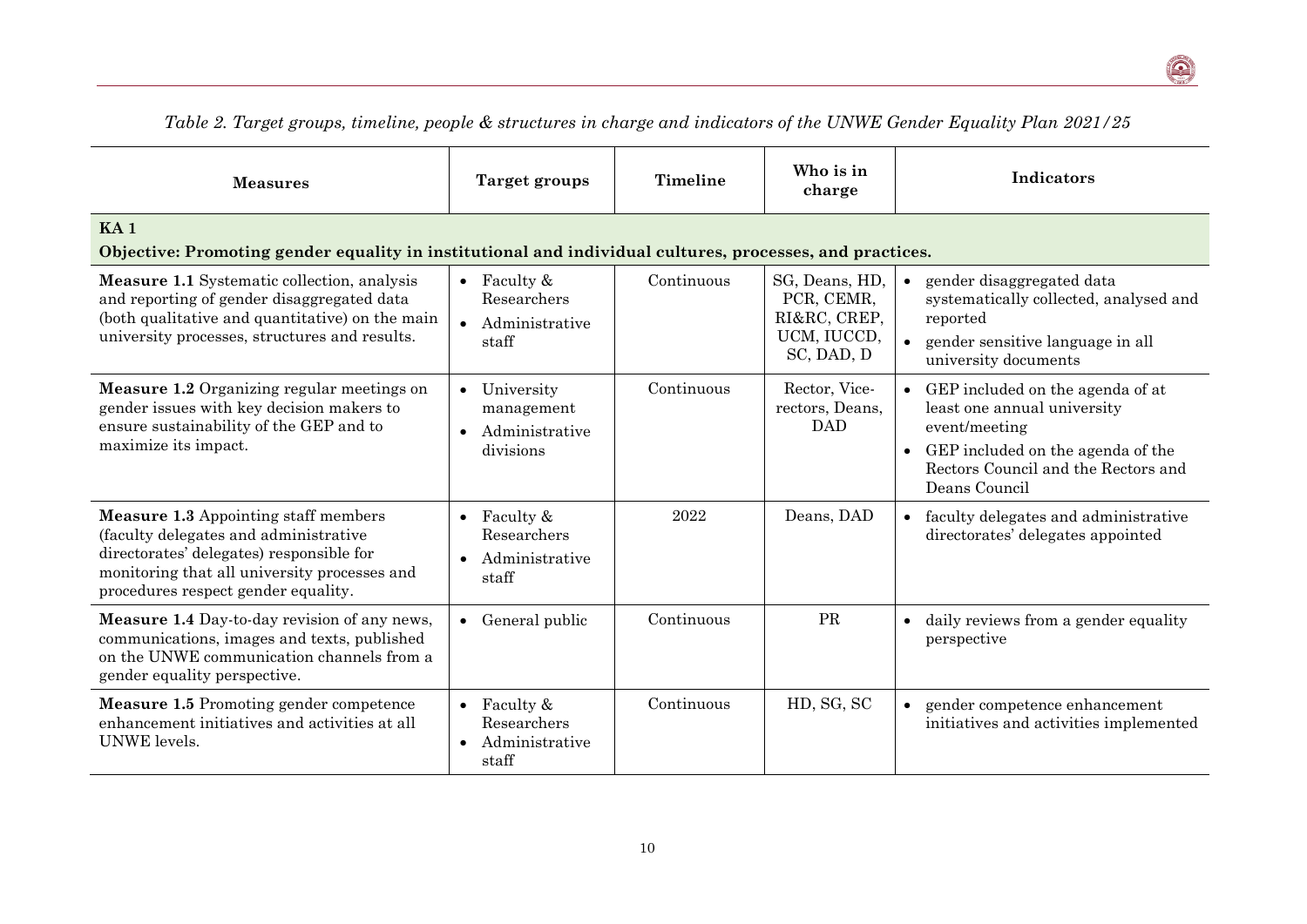| <b>Measures</b>                                                                                                                                                                                                          | Target groups                                              | Timeline   | Who is in<br>charge                                                       | Indicators                                                                                                                                                                                 |
|--------------------------------------------------------------------------------------------------------------------------------------------------------------------------------------------------------------------------|------------------------------------------------------------|------------|---------------------------------------------------------------------------|--------------------------------------------------------------------------------------------------------------------------------------------------------------------------------------------|
| KA <sub>1</sub><br>Objective: Promoting gender equality in institutional and individual cultures, processes, and practices.                                                                                              |                                                            |            |                                                                           |                                                                                                                                                                                            |
| <b>Measure 1.1</b> Systematic collection, analysis<br>and reporting of gender disaggregated data<br>(both qualitative and quantitative) on the main<br>university processes, structures and results.                     | • Faculty $\&$<br>Researchers<br>• Administrative<br>staff | Continuous | SG, Deans, HD,<br>PCR, CEMR,<br>RI&RC, CREP,<br>UCM, IUCCD,<br>SC, DAD, D | gender disaggregated data<br>$\bullet$<br>systematically collected, analysed and<br>reported<br>gender sensitive language in all<br>$\bullet$<br>university documents                      |
| Measure 1.2 Organizing regular meetings on<br>gender issues with key decision makers to<br>ensure sustainability of the GEP and to<br>maximize its impact.                                                               | • University<br>management<br>Administrative<br>divisions  | Continuous | Rector, Vice-<br>rectors, Deans,<br><b>DAD</b>                            | GEP included on the agenda of at<br>$\bullet$<br>least one annual university<br>event/meeting<br>GEP included on the agenda of the<br>Rectors Council and the Rectors and<br>Deans Council |
| <b>Measure 1.3 Appointing staff members</b><br>(faculty delegates and administrative)<br>directorates' delegates) responsible for<br>monitoring that all university processes and<br>procedures respect gender equality. | • Faculty $&$<br>Researchers<br>Administrative<br>staff    | 2022       | Deans, DAD                                                                | • faculty delegates and administrative<br>directorates' delegates appointed                                                                                                                |
| Measure 1.4 Day-to-day revision of any news,<br>communications, images and texts, published<br>on the UNWE communication channels from a<br>gender equality perspective.                                                 | • General public                                           | Continuous | PR                                                                        | daily reviews from a gender equality<br>$\bullet$<br>perspective                                                                                                                           |
| <b>Measure 1.5 Promoting gender competence</b><br>enhancement initiatives and activities at all<br>UNWE levels.                                                                                                          | • Faculty $&$<br>Researchers<br>• Administrative<br>staff  | Continuous | HD, SG, SC                                                                | gender competence enhancement<br>$\bullet$<br>initiatives and activities implemented                                                                                                       |

*Table 2. Target groups, timeline, people & structures in charge and indicators of the UNWE Gender Equality Plan 2021/25*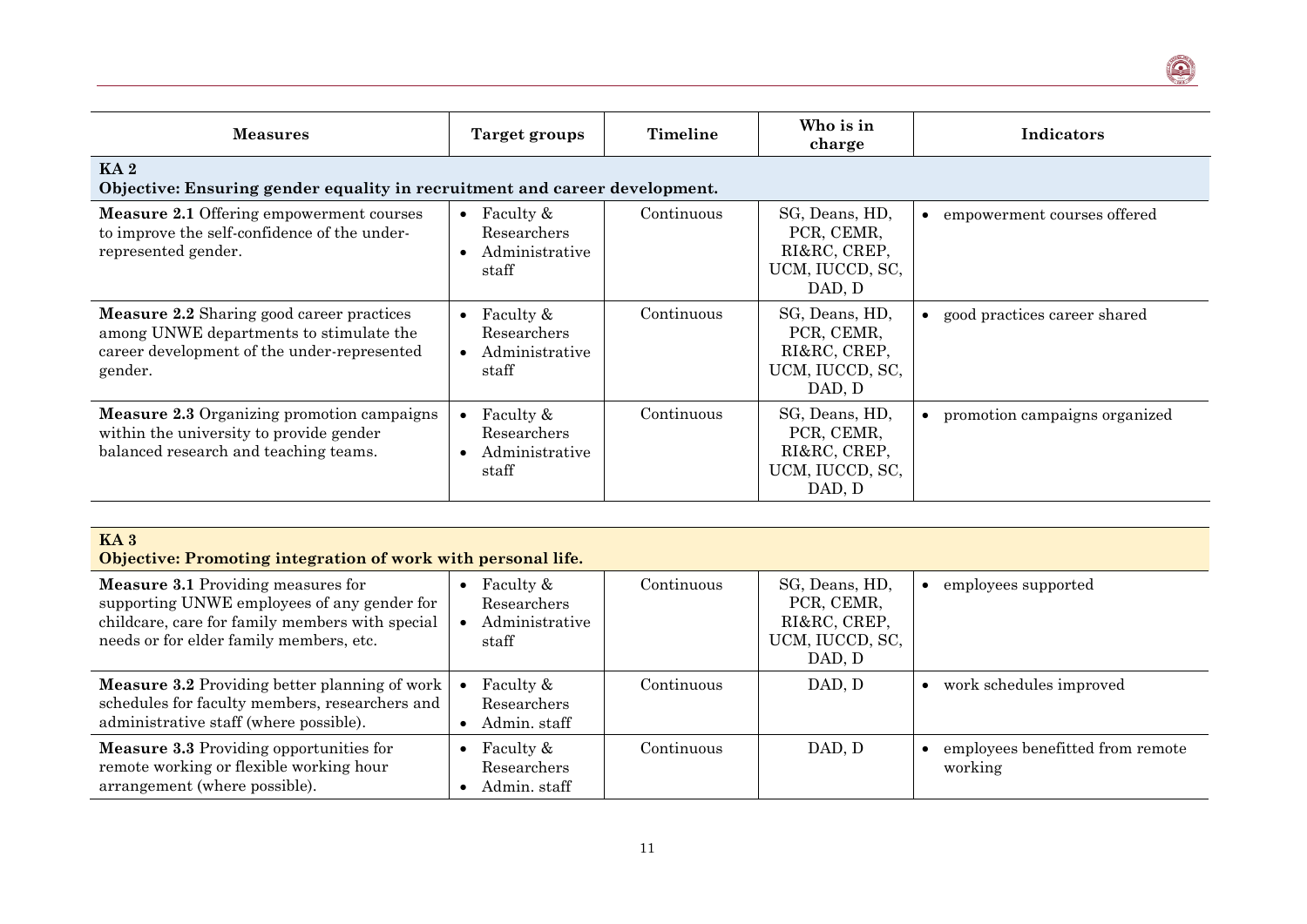| <b>Measures</b>                                                                                                                                       | Target groups                                                                 | Timeline   | Who is in<br>charge                                                       | Indicators                    |  |  |
|-------------------------------------------------------------------------------------------------------------------------------------------------------|-------------------------------------------------------------------------------|------------|---------------------------------------------------------------------------|-------------------------------|--|--|
| KA <sub>2</sub><br>Objective: Ensuring gender equality in recruitment and career development.                                                         |                                                                               |            |                                                                           |                               |  |  |
| <b>Measure 2.1 Offering empowerment courses</b><br>to improve the self-confidence of the under-<br>represented gender.                                | Faculty &<br>$\bullet$<br>Researchers<br>Administrative<br>staff              | Continuous | SG, Deans, HD,<br>PCR, CEMR,<br>RI&RC, CREP,<br>UCM, IUCCD, SC,<br>DAD, D | empowerment courses offered   |  |  |
| <b>Measure 2.2</b> Sharing good career practices<br>among UNWE departments to stimulate the<br>career development of the under-represented<br>gender. | Faculty &<br>$\bullet$<br>Researchers<br>Administrative<br>$\bullet$<br>staff | Continuous | SG, Deans, HD,<br>PCR, CEMR,<br>RI&RC, CREP,<br>UCM, IUCCD, SC,<br>DAD, D | good practices career shared  |  |  |
| <b>Measure 2.3 Organizing promotion campaigns</b><br>within the university to provide gender<br>balanced research and teaching teams.                 | Faculty &<br>$\bullet$<br>Researchers<br>Administrative<br>staff              | Continuous | SG, Deans, HD,<br>PCR, CEMR,<br>RI&RC, CREP,<br>UCM, IUCCD, SC,<br>DAD, D | promotion campaigns organized |  |  |

 $\bigcirc$ 

| KA <sub>3</sub><br>Objective: Promoting integration of work with personal life.                                                                                                        |                                                     |            |                                                                           |                                             |  |
|----------------------------------------------------------------------------------------------------------------------------------------------------------------------------------------|-----------------------------------------------------|------------|---------------------------------------------------------------------------|---------------------------------------------|--|
| <b>Measure 3.1 Providing measures for</b><br>supporting UNWE employees of any gender for<br>childcare, care for family members with special<br>needs or for elder family members, etc. | Faculty &<br>Researchers<br>Administrative<br>staff | Continuous | SG, Deans, HD,<br>PCR, CEMR,<br>RI&RC, CREP,<br>UCM, IUCCD, SC,<br>DAD, D | employees supported                         |  |
| <b>Measure 3.2</b> Providing better planning of work<br>schedules for faculty members, researchers and<br>administrative staff (where possible).                                       | Faculty &<br>Researchers<br>Admin, staff            | Continuous | DAD, D                                                                    | work schedules improved                     |  |
| <b>Measure 3.3 Providing opportunities for</b><br>remote working or flexible working hour<br>arrangement (where possible).                                                             | Faculty &<br>Researchers<br>Admin. staff            | Continuous | DAD, D                                                                    | employees benefitted from remote<br>working |  |